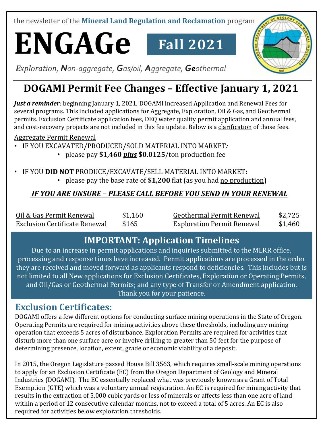the newsletter of the **Mineral Land Regulation and Reclamation** program

# **ENGAGe Fall 2021**



*Exploration, Non-aggregate, Gas/oil, Aggregate, Geothermal*

## **DOGAMI Permit Fee Changes – Effective January 1, 2021**

*Just a reminder*: beginning January 1, 2021, DOGAMI increased Application and Renewal Fees for several programs. This included applications for Aggregate, Exploration, Oil & Gas, and Geothermal permits. Exclusion Certificate application fees, DEQ water quality permit application and annual fees, and cost-recovery projects are not included in this fee update. Below is a clarification of those fees.

Aggregate Permit Renewal

• IF YOU EXCAVATED/PRODUCED/SOLD MATERIAL INTO MARKET*:*

- please pay **\$1,460** *plus* **\$0.0125**/ton production fee
- IF YOU **DID NOT** PRODUCE/EXCAVATE/SELL MATERIAL INTO MARKET**:** • please pay the base rate of **\$1,200** flat (as you had no production)

#### *IF YOU ARE UNSURE – PLEASE CALL BEFORE YOU SEND IN YOUR RENEWAL*

| Oil & Gas Permit Renewal             | \$1,160 | <b>Geothermal Permit Renewal</b>  | \$2.725 |
|--------------------------------------|---------|-----------------------------------|---------|
| <b>Exclusion Certificate Renewal</b> | \$165   | <b>Exploration Permit Renewal</b> | \$1,460 |

#### **IMPORTANT: Application Timelines**

Due to an increase in permit applications and inquiries submitted to the MLRR office, processing and response times have increased. Permit applications are processed in the order they are received and moved forward as applicants respond to deficiencies. This includes but is not limited to all New applications for Exclusion Certificates, Exploration or Operating Permits, and Oil/Gas or Geothermal Permits; and any type of Transfer or Amendment application. Thank you for your patience.

#### **Exclusion Certificates:**

DOGAMI offers a few different options for conducting surface mining operations in the State of Oregon. Operating Permits are required for mining activities above these thresholds, including any mining operation that exceeds 5 acres of disturbance. Exploration Permits are required for activities that disturb more than one surface acre or involve drilling to greater than 50 feet for the purpose of determining presence, location, extent, grade or economic viability of a deposit.

In 2015, the Oregon Legislature passed House Bill 3563, which requires small-scale mining operations to apply for an Exclusion Certificate (EC) from the Oregon Department of Geology and Mineral Industries (DOGAMI). The EC essentially replaced what was previously known as a Grant of Total Exemption (GTE) which was a voluntary annual registration. An EC is required for mining activity that results in the extraction of 5,000 cubic yards or less of minerals or affects less than one acre of land within a period of 12 consecutive calendar months, not to exceed a total of 5 acres. An EC is also required for activities below exploration thresholds.